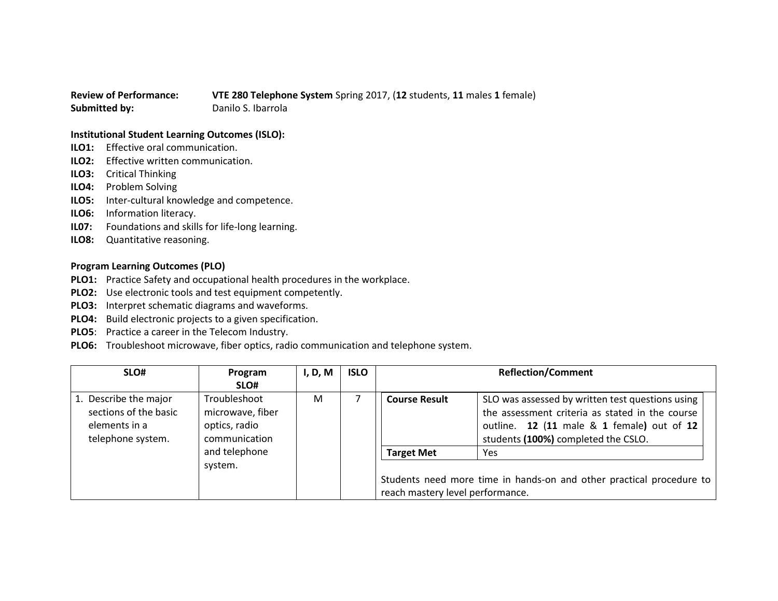## **Review of Performance: VTE 280 Telephone System** Spring 2017, (**12** students, **11** males **1** female) **Submitted by:** Danilo S. Ibarrola

## **Institutional Student Learning Outcomes (ISLO):**

- **ILO1:** Effective oral communication.
- **ILO2:** Effective written communication.
- **ILO3:** Critical Thinking
- **ILO4:** Problem Solving
- **ILO5:** Inter-cultural knowledge and competence.
- **ILO6:** Information literacy.
- **IL07:** Foundations and skills for life-long learning.
- **ILO8:** Quantitative reasoning.

## **Program Learning Outcomes (PLO)**

- **PLO1:** Practice Safety and occupational health procedures in the workplace.
- **PLO2:** Use electronic tools and test equipment competently.
- **PLO3:** Interpret schematic diagrams and waveforms.
- **PLO4:** Build electronic projects to a given specification.
- **PLO5**: Practice a career in the Telecom Industry.
- **PLO6:** Troubleshoot microwave, fiber optics, radio communication and telephone system.

| SLO#                                                                                 | Program<br>SLO#                                                    | I, D, M | <b>ISLO</b> |                                                       | <b>Reflection/Comment</b>                                                                                                                                                                |
|--------------------------------------------------------------------------------------|--------------------------------------------------------------------|---------|-------------|-------------------------------------------------------|------------------------------------------------------------------------------------------------------------------------------------------------------------------------------------------|
| 1. Describe the major<br>sections of the basic<br>elements in a<br>telephone system. | Troubleshoot<br>microwave, fiber<br>optics, radio<br>communication | M       |             | <b>Course Result</b>                                  | SLO was assessed by written test questions using<br>the assessment criteria as stated in the course<br>outline. 12 (11 male & 1 female) out of 12<br>students (100%) completed the CSLO. |
|                                                                                      | and telephone<br>system.                                           |         |             | <b>Target Met</b><br>reach mastery level performance. | Yes<br>Students need more time in hands-on and other practical procedure to                                                                                                              |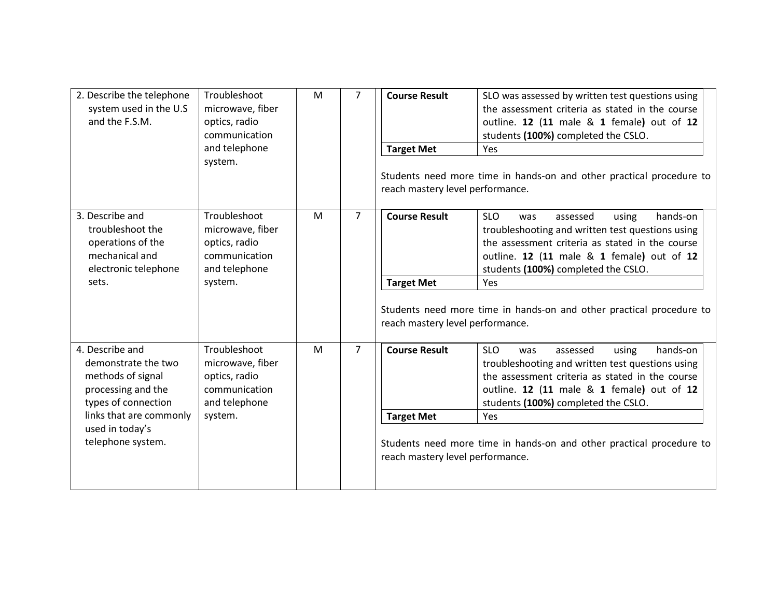| 2. Describe the telephone<br>system used in the U.S<br>and the F.S.M.                                       | Troubleshoot<br>microwave, fiber<br>optics, radio<br>communication<br>and telephone<br>system. | M | $\overline{7}$                                                                                           | <b>Course Result</b><br><b>Target Met</b><br>reach mastery level performance. | SLO was assessed by written test questions using<br>the assessment criteria as stated in the course<br>outline. 12 (11 male & 1 female) out of 12<br>students (100%) completed the CSLO.<br>Yes<br>Students need more time in hands-on and other practical procedure to |  |
|-------------------------------------------------------------------------------------------------------------|------------------------------------------------------------------------------------------------|---|----------------------------------------------------------------------------------------------------------|-------------------------------------------------------------------------------|-------------------------------------------------------------------------------------------------------------------------------------------------------------------------------------------------------------------------------------------------------------------------|--|
| 3. Describe and<br>troubleshoot the<br>operations of the<br>mechanical and<br>electronic telephone<br>sets. | Troubleshoot<br>microwave, fiber<br>optics, radio<br>communication<br>and telephone<br>system. | M | $\overline{7}$                                                                                           | <b>Course Result</b><br><b>Target Met</b>                                     | <b>SLO</b><br>hands-on<br>using<br>assessed<br>was<br>troubleshooting and written test questions using<br>the assessment criteria as stated in the course<br>outline. 12 (11 male & 1 female) out of 12<br>students (100%) completed the CSLO.<br>Yes                   |  |
|                                                                                                             |                                                                                                |   | Students need more time in hands-on and other practical procedure to<br>reach mastery level performance. |                                                                               |                                                                                                                                                                                                                                                                         |  |
| 4. Describe and<br>demonstrate the two<br>methods of signal<br>processing and the<br>types of connection    | Troubleshoot<br>microwave, fiber<br>optics, radio<br>communication<br>and telephone            | M | $\overline{7}$                                                                                           | <b>Course Result</b>                                                          | <b>SLO</b><br>hands-on<br>assessed<br>using<br>was<br>troubleshooting and written test questions using<br>the assessment criteria as stated in the course<br>outline. 12 (11 male & 1 female) out of 12<br>students (100%) completed the CSLO.                          |  |
| links that are commonly                                                                                     | system.                                                                                        |   |                                                                                                          | <b>Target Met</b>                                                             | Yes                                                                                                                                                                                                                                                                     |  |
| used in today's<br>telephone system.                                                                        |                                                                                                |   |                                                                                                          | reach mastery level performance.                                              | Students need more time in hands-on and other practical procedure to                                                                                                                                                                                                    |  |